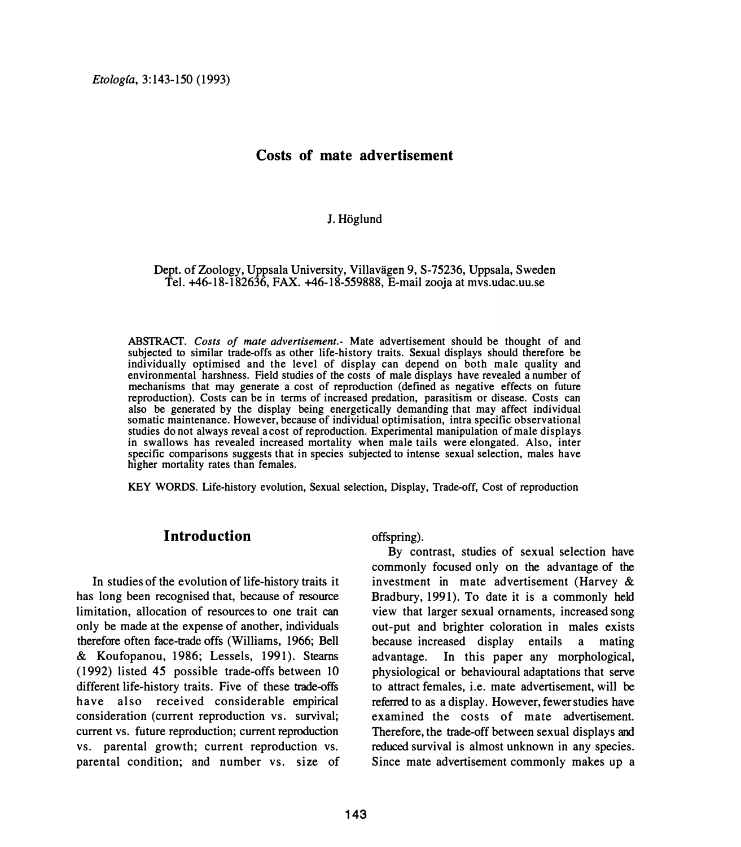### **Costs of mate advertisement**

#### **J. Hoglund**

#### Dept. of Zoology, Uppsala University, Villavägen 9, S-75236, Uppsala, Sweden **Tel. +46-18-182636, FAX. +46-18-559888, E-mail zooja at mvs.udac.uu.se**

ABS1RACT. *Costs of mate advertisement.-* Mate advertisement should be thought of and subjected to similar trade-offs as other life-history traits. Sexual displays should therefore be individually optimised and the level of display can depend on both male quality and environmental harshness. Field studies of the costs of male displays have revealed a number of mechanisms that may generate a cost of reproduction (defined as negative effects on future reproduction). Costs can be in terms of increased predation, parasitism or disease. Costs can also be generated by the display being energetically demanding that may affect individual somatic maintenance. However, because of individual optimisation, intra specific observational studies do not always reveal a cost of reproduction. Experimental manipulation of male displays in swallows has revealed increased mortality when male tails were elongated. Also, inter specific comparisons suggests that in species subjected to intense sexual selection, males have higher mortality rates than females.

KEY WORDS. Life-history evolution, Sexual selection, Display, Trade-off, Cost of reproduction

# **Introduction**

**In studies of the evolution of life-history traits it has long been recognised that, because of resource limitation, allocation of resources to one trait can only be made at the expense of another, individuals therefore often face-trade offs (Williams, 1966; Bell & Koufopanou, 1986; Lessels, 1991). Stearns (1992) listed 45 possible trade-offs between 10 different life-history traits. Five of these trade-Offs have also received considerable empirical consideration (current reproduction vs. survival; current vs. future reproduction; current reproduction vs. parental growth; current reproduction vs. parental condition; and number vs. size of**  **offspring).** 

**By contrast, studies of sexual selection have commonly focused only on the advantage of the investment in mate advertisement (Harvey & Bradbury, 1991). To date it is a commonly held view that larger sexual ornaments, increased song out-put and brighter coloration in males exists because increased display entails a mating advantage. In this paper any morphological, physiological or behavioural adaptations that serve to attract females, i.e. mate advertisement, will** be **referred to as a display. However, fewer studies have examined the costs of mate advertisement. Therefore, the trade-off between sexual displays and reduced survival is almost unknown in any species. Since mate advertisement commonly makes up a**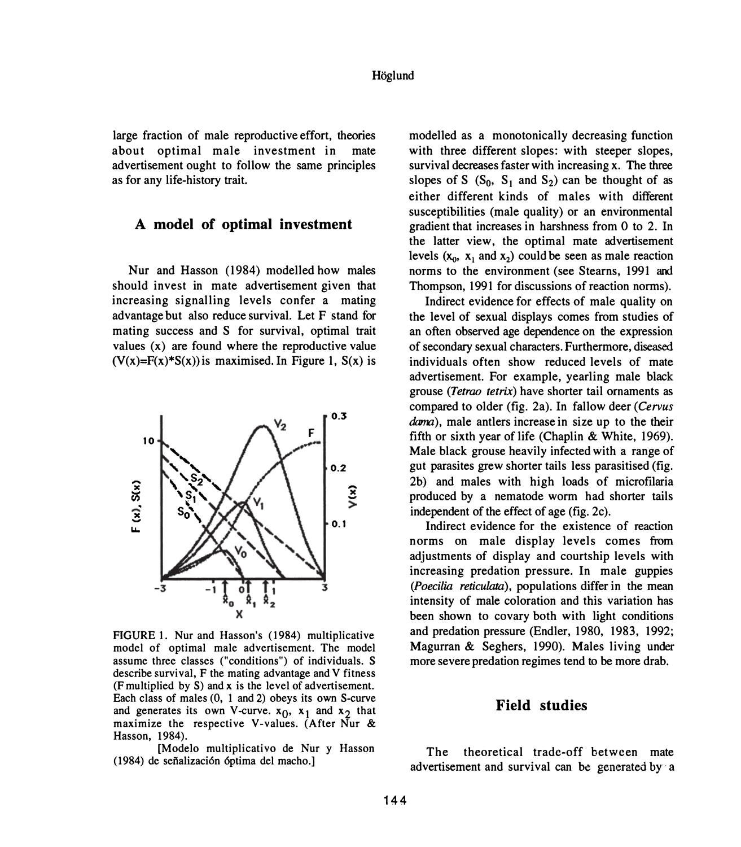**large fraction of male reproductive effort, theories about optimal male investment in mate advertisement ought to follow the same principles as for any life-history trait.** 

# **A model of optimal investment**

**Nur and Hasson (1984) modelled how males should invest in mate advertisement given that increasing signalling levels confer a mating advantage but also reduce survival. Let F stand for mating success and S for survival, optimal trait values (x) are found where the reproductive value (V(x)=F(x)\*S(x))is maximised. In Figure 1, S(x) is** 



**FIGURE 1. Nur and Hasson's (1984) multiplicative model of optimal male advertisement. The model assume three classes ("conditions") of individuals. S describe survival, F the mating advantage and V fitness (F multiplied by S) and x is the level of advertisement. Each class of males (0, 1 and 2) obeys its own S-curve**  and generates its own V-curve.  $x_0$ ,  $x_1$  and  $x_2$  that **maximize the respective V-values. (After Nur & Hasson, 1984).** 

**[Modelo multiplicativo de Nur y Hasson (1984) de sei'ializaci6n 6ptima del macho.]** 

**modelled as a monotonically decreasing function with three different slopes: with steeper slopes, survival decreases faster with increasing x. The three**  slopes of S  $(S_0, S_1 \text{ and } S_2)$  can be thought of as **either different kinds of males with different susceptibilities (male quality) or an environmental gradient that increases in harshness from O to 2. In the latter view, the optimal mate advertisement**  levels  $(x_0, x_1 \text{ and } x_2)$  could be seen as male reaction **norms to the environment (see Stearns, 1991 and Thompson, 1991 for discussions of reaction norms).** 

**Indirect evidence for effects of male quality on the level of sexual displays comes from studies of an often observed age dependence on the expression of secondary sexual characters. Furthermore, diseased individuals often show reduced levels of mate advertisement. For example, yearling male black grouse** *(Tetrao tetrix)* **have shorter tail ornaments as compared to older (fig. 2a). In fallow deer** *(Cervus*  **dama), male antlers increase in size up to the their fifth or sixth year of life (Chaplin & White, 1969). Male black grouse heavily infected with a range of gut parasites grew shorter tails less parasitised (fig. 2b) and males with high loads of microfilaria produced by a nematode worm had shorter tails**  independent of the effect of age (fig. 2c).

**Indirect evidence for the existence of reaction norms on male display levels comes from adjustments of display and courtship levels with increasing predation pressure. In male guppies**  *(Poecilia reticu/ata),* **populations differ in the mean intensity of male coloration and this variation has been shown to covary both with light conditions and predation pressure (Endler, 1980, 1983, 1992; Magurran & Seghers, 1990). Males living under more severe predation regimes tend to be more drab.** 

## **Field studies**

**The theoretical trade-off between mate advertisement and survival can be generated by·· a**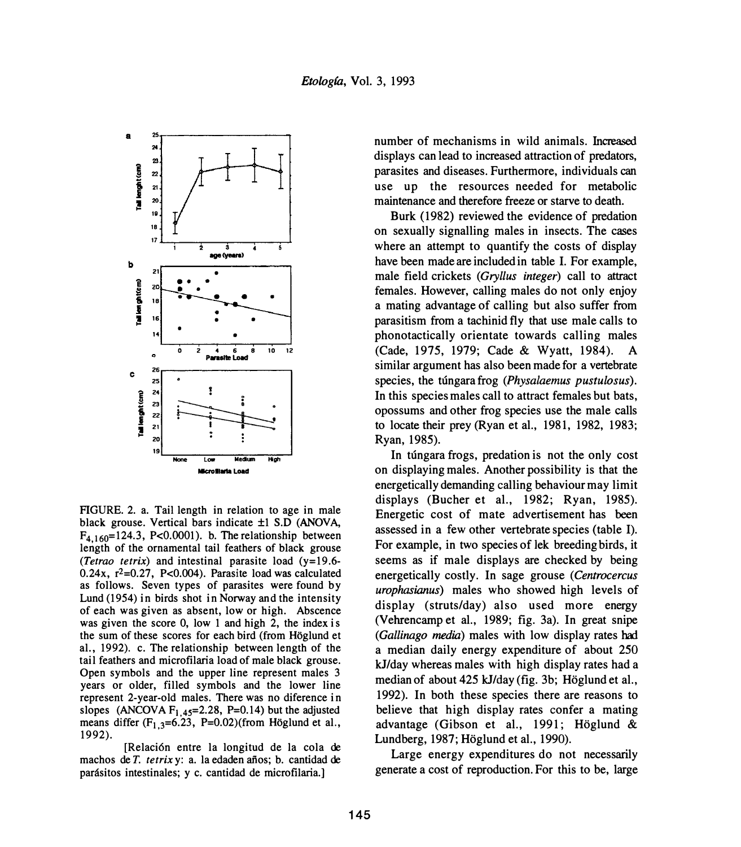

FIGURE. 2. a. Tail length in relation to age in male black grouse. Vertical bars indicate ±1 S.D (ANOVA,  $F_{4,160}$ =124.3, P<0.0001). b. The relationship between length of the ornamental tail feathers of black grouse *(Tetrao tetrix)* and intestinal parasite load (y=19.6- $0.24x$ ,  $r^2=0.27$ , P<0.004). Parasite load was calculated as follows. Seven types of parasites were found by Lund (1954) in birds shot in Norway and the intensity of each was given as absent, low or high. Abscence was given the score 0, low 1 and high 2, the **index** is the sum of these scores for each bird (from Hoglund et al., 1992). c. The relationship between length of the tail feathers and microfilaria load of male black grouse. Open symbols and the upper line represent males 3 years or older, filled symbols and the lower line represent 2-year-old males. There was no diference in slopes (ANCOVA  $F_{1,45}$ =2.28, P=0.14) but the adjusted means differ  $(F_{1,3}=6.23, P=0.02)$  (from Höglund et al., 1992).

[Relaci6n entre la longitud de la cola de machos de *T. tetrix* y: a. la edaden años; b. cantidad de parásitos intestinales; y c. cantidad de microfilaria.

number of mechanisms in wild animals. Increased displays can lead to increased attraction of predators, parasites and diseases. Furthermore, individuals can use up the resources needed for metabolic maintenance and therefore freeze or starve to death.

Burk (1982) reviewed the evidence of predation on sexually signalling males in insects. The cases where an attempt to quantify the costs of display have been made are included in table I. For example, male field crickets *(Gryllus integer)* call to attract females. However, calling males do not only enjoy a mating advantage of calling but also suffer from parasitism from a tachinid fly that use male calls to phonotactically orientate towards calling males (Cade, 1975, 1979; Cade & Wyatt, 1984). A similar argument has also been made for a vertebrate species, the túngara frog *(Physalaemus pustulosus)*. In this species males call to attract females but bats, opossums and other frog species use the male calls to locate their prey (Ryan et al., 1981, 1982, 1983; Ryan, 1985).

In tungara frogs, predation is not the only cost on displaying males. Another possibility is that the energetically demanding calling behaviour may limit displays (Bucher et al., 1982; Ryan, 1985). Energetic cost of mate advertisement has been assessed in a few other vertebrate species (table I). For example, in two species of lek breeding birds, it seems as if male displays are checked by being energetically costly. In sage grouse *(Centrocercus urophasianus)* males who showed high levels of display (struts/day) also used more energy (Vehrencamp et al., 1989; fig. 3a). In great snipe (Gallinago media) males with low display rates had a median daily energy expenditure of about 250 kJ/day whereas males with high display rates had a median of about 425 kJ/day (fig. 3b; Höglund et al., 1992). In both these species there are reasons to believe that high display rates confer a mating advantage (Gibson et al., 1991; Höglund & Lundberg, 1987; Höglund et al., 1990).

Large energy expenditures do not necessarily generate a cost of reproduction. For this to be, large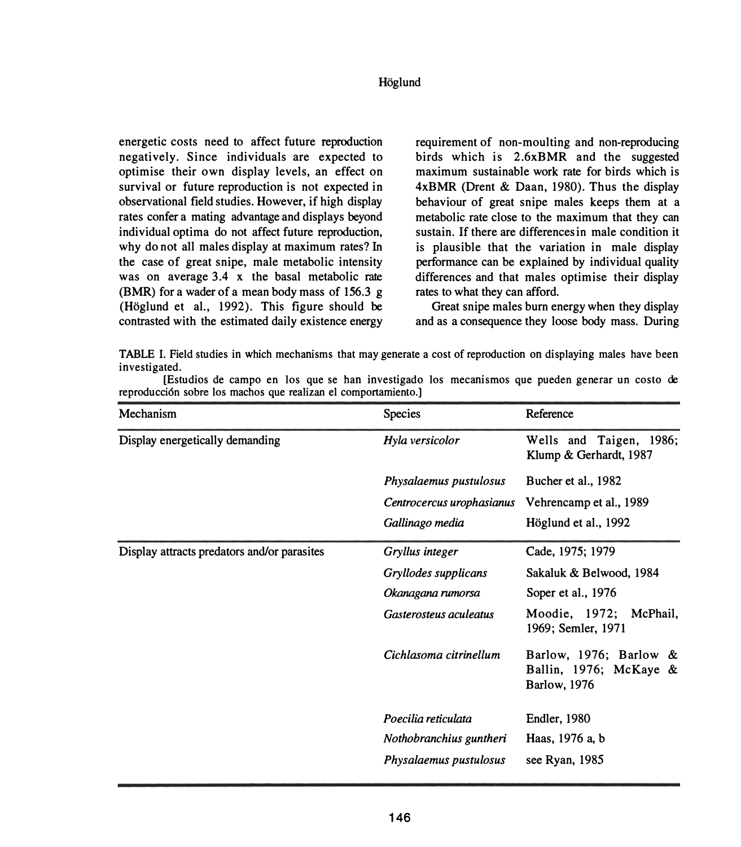#### **Hoglund**

**energetic costs need to affect future reproduction negatively. Since individuals are expected to optimise their own display levels, an effect on survival or future reproduction is not expected in observational field studies. However, if high display rates confer a mating advantage and displays beyond individual optima do not affect future reproduction, why do not all males display at maximum rates? In the case of great snipe, male metabolic intensity was on average 3.4 x the basal metabolic rate (BMR) for a wader of a mean body mass of 156.3 g (Hoglund et al., 1992). This figure should be contrasted with the estimated daily existence energy**  **requirement of non-moulting and non-reproducing birds which is 2.6xBMR and the suggested maximum sustainable work rate for birds which is 4xBMR (Drent & Daan, 1980). Thus the display behaviour of great snipe males keeps them at a metabolic rate close to the maximum that they can sustain. If there are differences in male condition it is plausible that the variation in male display performance can be explained by individual quality differences and that males optimise their display rates to what they can afford.** 

**Great snipe males burn energy when they display and as a consequence they loose body mass. During** 

**TABLE I. Field studies in which mechanisms that may generate a cost of reproduction on displaying males have been investigated.** 

**[Estudios de campo en los que se han investigado los mecanismos que pueden generar un costo de reproducci6n sobre los machos que realizan el comportamiento.]** 

| Mechanism                                   | <b>Species</b>            | Reference                                                                |
|---------------------------------------------|---------------------------|--------------------------------------------------------------------------|
| Display energetically demanding             | Hyla versicolor           | Wells and Taigen, 1986;<br>Klump & Gerhardt, 1987                        |
|                                             | Physalaemus pustulosus    | Bucher et al., 1982                                                      |
|                                             | Centrocercus urophasianus | Vehrencamp et al., 1989                                                  |
|                                             | Gallinago media           | Höglund et al., 1992                                                     |
| Display attracts predators and/or parasites | Gryllus integer           | Cade, 1975; 1979                                                         |
|                                             | Gryllodes supplicans      | Sakaluk & Belwood, 1984                                                  |
|                                             | Okanagana rumorsa         | Soper et al., 1976                                                       |
|                                             | Gasterosteus aculeatus    | Moodie, 1972;<br>McPhail,<br>1969; Semler, 1971                          |
|                                             | Cichlasoma citrinellum    | Barlow, 1976; Barlow &<br>Ballin, 1976; McKaye &<br><b>Barlow</b> , 1976 |
|                                             | Poecilia reticulata       | <b>Endler</b> , 1980                                                     |
|                                             | Nothobranchius guntheri   | Haas, 1976 a, b                                                          |
|                                             | Physalaemus pustulosus    | see Ryan, 1985                                                           |
|                                             |                           |                                                                          |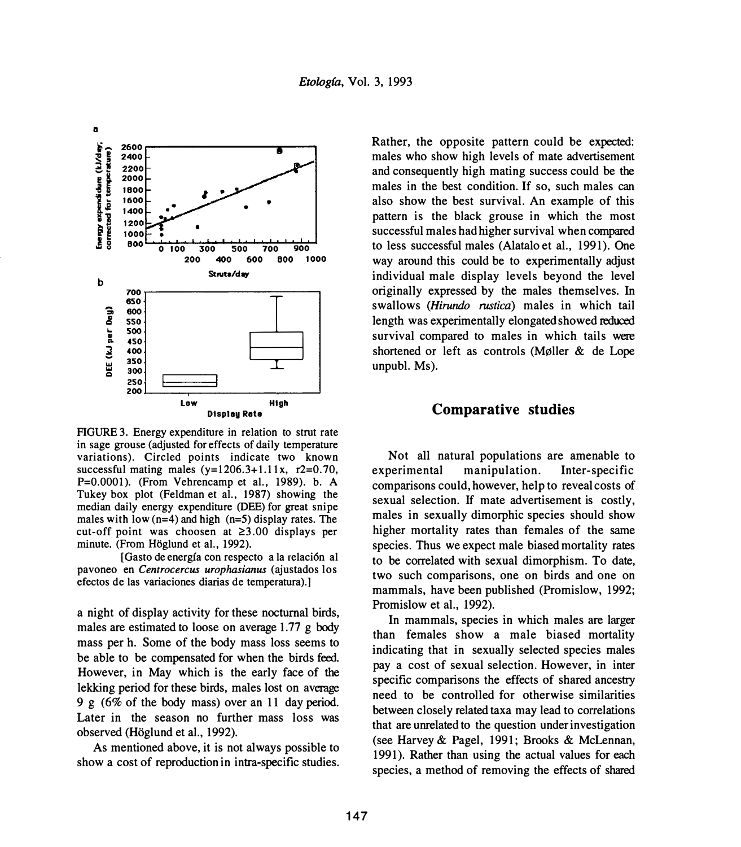

FIGURE 3. Energy expenditure in relation to strut rate in sage grouse (adjusted for effects of daily temperature variations). Circled points indicate two known successful mating males  $(y=1206.3+1.11x, r2=0.70,$ P=0.0001). (From Vehrencamp et al., 1989). b. A Tukey box plot (Feldman et al., 1987) showing the median daily energy expenditure (DEE) for great snipe males with low  $(n=4)$  and high  $(n=5)$  display rates. The cut-off point was choosen at  $\geq 3.00$  displays per minute. (From Höglund et al., 1992).

[Gasto deenergfa con respecto a la relaci6n al pavoneo en *Centrocercus urophasianus* (ajustados los efectos de las variaciones diarias de temperatura).]

a night of display activity for these nocturnal birds, males are estimated to loose on average 1.77 g body mass per h. Some of the body mass loss seems to be able to be compensated for when the birds feed. However, in May which is the early face of the lekking period for these birds, males lost on average 9 g (6% of the body mass) over an 11 day period. Later in the season no further mass loss was observed (Hoglund et al., 1992).

As mentioned above, it is not always possible to show a cost of reproduction in intra-specific studies.

Rather, the opposite pattern could be expected: males who show high levels of mate advertisement and consequently high mating success could be the males in the best condition. If so, such males can also show the best survival. An example of this pattern is the black grouse in which the most successful males had higher survival when compared to less successful males (Alatalo et al., 1991). One way around this could be to experimentally adjust individual male display levels beyond the level originally expressed by the males themselves. In swallows *(Hirundo rustica)* males in which tail length was experimentally elongated showed reduced survival compared to males in which tails were shortened or left as controls (Møller  $&$  de Lope unpubl. Ms).

#### **Comparative studies**

Not all natural populations are amenable to experimental manipulation. Inter-specific comparisons could, however, help to reveal costs of sexual selection. If mate advertisement is costly, males in sexually dimorphic species should show higher mortality rates than females of the same species. Thus we expect male biased mortality rates to be correlated with sexual dimorphism. To date, two such comparisons, one on birds and one on mammals, have been published (Promislow, 1992; Promislow et al., 1992).

In mammals, species in which males are larger than females show a male biased mortality indicating that in sexually selected species males pay a cost of sexual selection. However, in inter specific comparisons the effects of shared ancestry need to be controlled for otherwise similarities between closely related taxa may lead to correlations that are unrelated to the question under investigation (see Harvey& Pagel, 1991; Brooks & McLennan, 1991). Rather than using the actual values for each species, a method of removing the effects of shared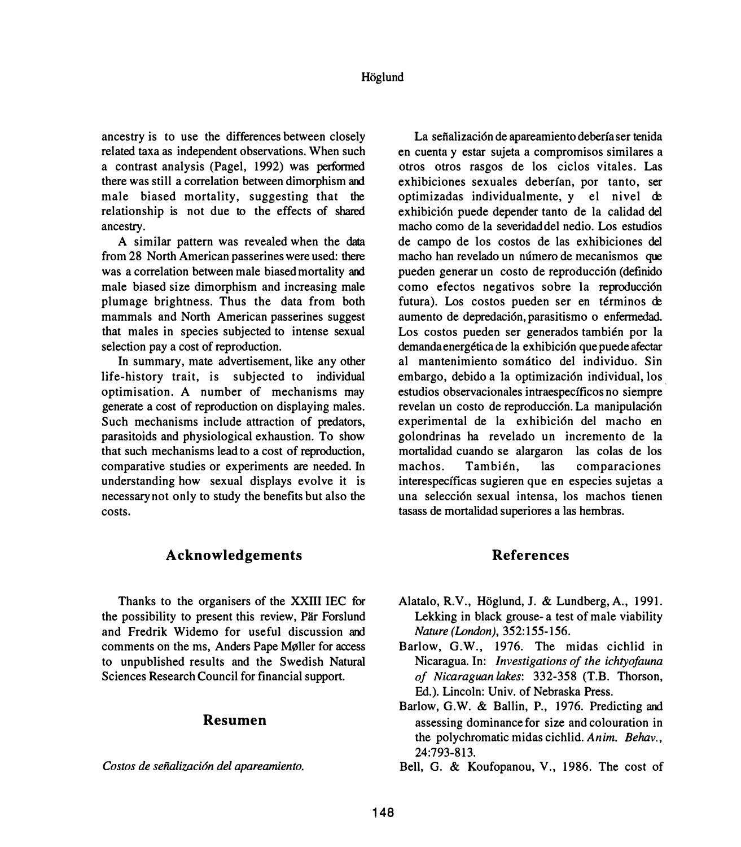**ancestry is to use the differences between closely related taxa as independent observations. When such a contrast analysis (Pagel, 1992) was performed**  there was still a correlation between dimorphism and **male biased mortality, suggesting that the relationship is not due to the effects of shared ancestry.** 

**A similar pattern was revealed when the data from 28 North American passerines were used: there**  was a correlation between male biased mortality and **male biased size dimorphism and increasing male plumage brightness. Thus the data from both mammals and North American passerines suggest that males in species subjected to intense sexual selection pay a cost of reproduction.** 

**In summary, mate advertisement, like any other life-history trait, is subjected to individual optimisation. A number of mechanisms may generate a cost of reproduction on displaying males. Such mechanisms include attraction of predators, parasitoids and physiological exhaustion. To show that such mechanisms lead to a cost of reproduction, comparative studies or experiments are needed. In understanding how sexual displays evolve it is necessary not only to study the benefits but also the costs.** 

La señalización de apareamiento debería ser tenida **en cuenta y estar sujeta a compromisos similares a otros otros rasgos de los ciclos vitales. Las exhibiciones sexuales deberfan, por tanto, ser**  optimizadas individualmente, y el nivel de **exhibici6n puede depender tanto de la calidad del macho como de la severidaddel nedio. Los estudios de campo de los costos de las exhibiciones del**  macho han revelado un número de mecanismos que pueden generar un costo de reproducción (definido **como efectos negativos sobre la reproducci6n**  futura). Los costos pueden ser en términos de **aumento de depredaci6n,parasitismo o enfermedad.**  Los costos pueden ser generados también por la **demandaenergetica de la exhibici6n que puede afectar al mantenimiento somatico del individuo. Sin**  embargo, debido a la optimización individual, los **estudios observacionales intraespecfficos no siempre**  revelan un costo de reproducción. La manipulación **experimental de la exhibici6n del macho en golondrinas ha revelado un incremento de la mortalidad cuando se alargaron las colas de los machos. Tambien, las comparaciones interespecificas sugieren que en especies sujetas a una selecci6n sexual intensa, los machos tienen tasass de mortalidad superiores a las hembras.** 

# **Acknowledgements**

**Thanks to the organisers of the XXIII IEC for the possibility to present this review, Par Forslund**  and Fredrik Widemo for useful discussion and **comments on the ms, Anders Pape M�ller for access to unpublished results and the Swedish Natural Sciences Research Council for financial support.** 

### **Resumen**

*Costos de senalizaci6n de/ apareamiento.* 

### **References**

- **Alatalo, R.V., Hoglund, J. & Lundberg, A., 1991. Lekking in black grouse- a test of male viability**  *Nature (London),* **352: 155-156.**
- **Barlow, G.W., 1976. The midas cichlid in Nicaragua. In:** *Investigations of the ichtyofauna of Nicaraguan lakes:* **332-358 (T.B. Thorson, Ed.). Lincoln: Univ. of Nebraska Press.**
- **Barlow, G.W. & Ballin, P., 1976. Predicting and assessing dominance for size and colouration in the polychromatic midas cichlid.** *Anim. Behav.,*  **24:793-813.**
- **Bell, G. & Koufopanou, V., 1986. The cost of**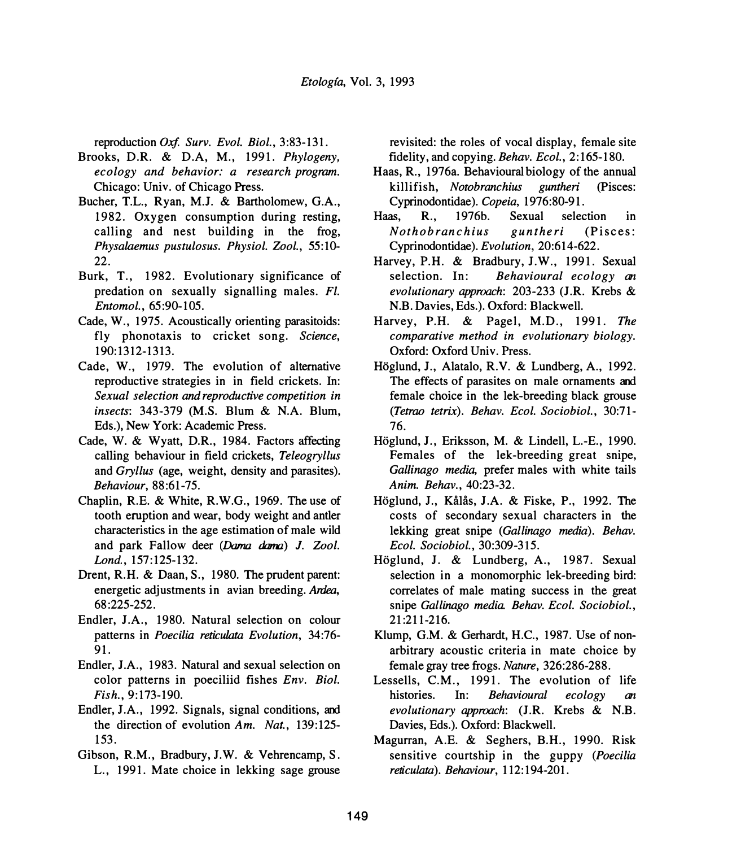reproduction *Oxf. Surv. Evol. Biol.,* 3:83-131.

- Brooks, D.R. & D.A, M., 1991. *Phylogeny, ecology and behavior: a research program.*  Chicago: Univ. of Chicago Press.
- Bucher, T.L., Ryan, M.J. & Bartholomew, G.A., 1982. Oxygen consumption during resting, calling and nest building in the frog, *Physalaemus pustulosus. Physiol. Zool.,* 55:10- 22.
- Burk, T., 1982. Evolutionary significance of predation on sexually signalling males. *Fl. Entomol.,* 65:90-105.
- Cade, W., 1975. Acoustically orienting parasitoids: fly phonotaxis to cricket song. *Science,*  190:1312-1313.
- Cade, W., 1979. The evolution of alternative reproductive strategies in in field crickets. In: *Sexual selection and reproductive competition in insects:* 343-379 (M.S. Blum & N.A. Blum, Eds.), New York: Academic Press.
- Cade, W. & Wyatt, D.R., 1984. Factors affecting calling behaviour in field crickets, *Teleogryllus*  and *Gryllus* (age, weight, density and parasites). *Behaviour,* 88:61-75.
- Chaplin, RE. & White, R.W.G., 1969. The use of tooth eruption and wear, body weight and antler characteristics in the age estimation of male wild and park Fallow deer (Dama dama) *J. Zoo/. Lond.,* 157:125-132.
- Drent, R.H. & Daan, S., 1980. The prudent parent: energetic adjustments in avian breeding. *Ardea,*  68:225-252.
- Endler, J.A., 1980. Natural selection on colour patterns in *Poecilia reticulata Evolution,* 34:76- 91.
- Endler, J.A., 1983. Natural and sexual selection on color patterns in poeciliid fishes *Env. Biol. Fish.,* 9:173-190.
- Endler, J.A., 1992. Signals, signal conditions, and the direction of evolution *Am. Nat.,* 139:125- 153.
- Gibson, R.M., Bradbury, J.W. & Vehrencamp, S. L., 1991. Mate choice in lekking sage grouse

revisited: the roles of vocal display, female site fidelity, and copying. *Behav. Ecol.,* 2:165-180.

- Haas, R., 1976a. Behavioural biology of the annual killifish, *Notobranchius guntheri* (Pisces: Cyprinodontidae). *Copeia,* 1976:80-91.
- Haas, R., 1976b. Sexual selection in *Nothobranchius guntheri* (Pisces: Cyprinodontidae). *Evolution,* 20:614-622.
- Harvey, P.H. & Bradbury, J.W., 1991. Sexual selection. In: *Behavioural ecology an evolutionary approach:* 203-233 (J.R. Krebs & N.B. Davies, Eds.). Oxford: Blackwell.
- Harvey, P.H. & Pagel, M.D., 1991. *The comparative method in evolutionary biology.*  Oxford: Oxford Univ. Press.
- Höglund, J., Alatalo, R.V. & Lundberg, A., 1992. The effects of parasites on male ornaments and female choice in the lek-breeding black grouse *(Tetrao tetrix). Behav. Ecol. Sociobiol.,* 30:71- 76.
- Höglund, J., Eriksson, M. & Lindell, L.-E., 1990. Females of the lek-breeding great snipe, *Gallinago media,* prefer males with white tails *Anim. Behav.,* 40:23-32.
- Höglund, J., Kålås, J.A. & Fiske, P., 1992. The costs of secondary sexual characters in the lekking great snipe *(Gallinago media). Behav. Ecol. Sociobiol.,* 30:309-315.
- Hoglund, J. & Lundberg, A., 1987. Sexual selection in a monomorphic lek-breeding bird: correlates of male mating success in the great snipe *Gallinago media. Behav. Ecol. Sociobiol.,*  21:211-216.
- Klump, G.M. & Gerhardt, H.C., 1987. Use of nonarbitrary acoustic criteria in mate choice by female gray tree frogs. *Nature,* 326:286-288.
- Lessells, C.M., 1991. The evolution of life histories. In: *Behavioural ecology an evolutionary approach:* (J.R. Krebs & N.B. Davies, Eds.). Oxford: Blackwell.
- Magurran, A.E. & Seghers, B.H., 1990. Risk sensitive courtship in the guppy *(Poecilia reticulata). Behaviour,* 112: 194-201.